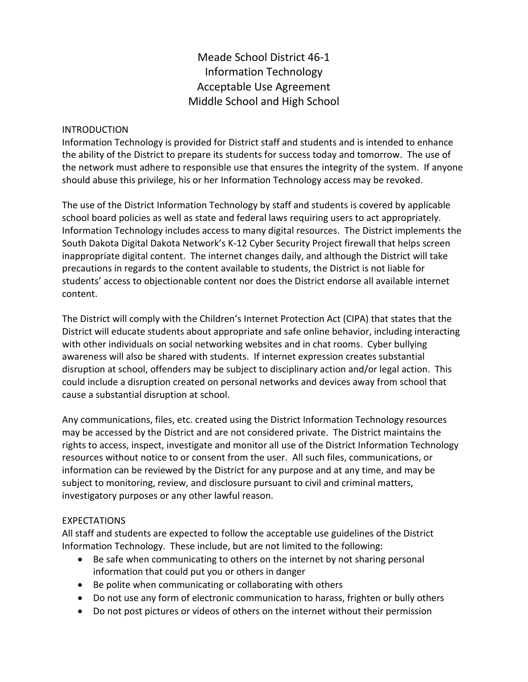Meade School District 46-1 Information Technology Acceptable Use Agreement Middle School and High School

## INTRODUCTION

Information Technology is provided for District staff and students and is intended to enhance the ability of the District to prepare its students for success today and tomorrow. The use of the network must adhere to responsible use that ensures the integrity of the system. If anyone should abuse this privilege, his or her Information Technology access may be revoked.

The use of the District Information Technology by staff and students is covered by applicable school board policies as well as state and federal laws requiring users to act appropriately. Information Technology includes access to many digital resources. The District implements the South Dakota Digital Dakota Network's K-12 Cyber Security Project firewall that helps screen inappropriate digital content. The internet changes daily, and although the District will take precautions in regards to the content available to students, the District is not liable for students' access to objectionable content nor does the District endorse all available internet content.

The District will comply with the Children's Internet Protection Act (CIPA) that states that the District will educate students about appropriate and safe online behavior, including interacting with other individuals on social networking websites and in chat rooms. Cyber bullying awareness will also be shared with students. If internet expression creates substantial disruption at school, offenders may be subject to disciplinary action and/or legal action. This could include a disruption created on personal networks and devices away from school that cause a substantial disruption at school.

Any communications, files, etc. created using the District Information Technology resources may be accessed by the District and are not considered private. The District maintains the rights to access, inspect, investigate and monitor all use of the District Information Technology resources without notice to or consent from the user. All such files, communications, or information can be reviewed by the District for any purpose and at any time, and may be subject to monitoring, review, and disclosure pursuant to civil and criminal matters, investigatory purposes or any other lawful reason.

## **EXPECTATIONS**

All staff and students are expected to follow the acceptable use guidelines of the District Information Technology. These include, but are not limited to the following:

- Be safe when communicating to others on the internet by not sharing personal information that could put you or others in danger
- Be polite when communicating or collaborating with others
- Do not use any form of electronic communication to harass, frighten or bully others
- Do not post pictures or videos of others on the internet without their permission